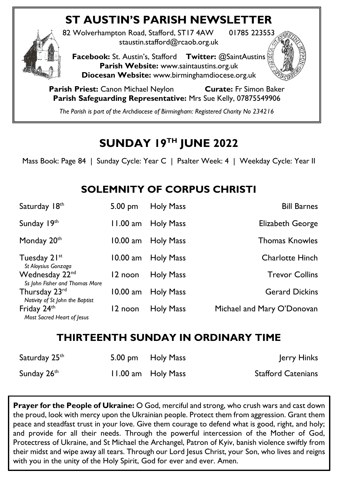# **ST AUSTIN'S PARISH NEWSLETTER**



82 Wolverhampton Road, Stafford, ST17 4AW 01785 223553 staustin.stafford@rcaob.org.uk

**Facebook:** St. Austin's, Stafford **Twitter:** @SaintAustins **Parish Website:** [www.saintaustins.org.uk](http://www.saintaustins.org.uk/) **Diocesan Website:** [www.birminghamdiocese.org.uk](http://www.birminghamdiocese.org.uk/)

**Parish Priest:** Canon Michael Neylon **Curate:** Fr Simon Baker **Parish Safeguarding Representative:** Mrs Sue Kelly, 07875549906

*The Parish is part of the Archdiocese of Birmingham: Registered Charity No 234216*

# **SUNDAY 19<sup>TH</sup> JUNE 2022**

Mass Book: Page 84 | Sunday Cycle: Year C | Psalter Week: 4 | Weekday Cycle: Year II

### **SOLEMNITY OF CORPUS CHRISTI**

| Saturday 18th                                    | $5.00 \text{ pm}$ | <b>Holy Mass</b> | <b>Bill Barnes</b>         |
|--------------------------------------------------|-------------------|------------------|----------------------------|
| Sunday 19th                                      | $11.00$ am        | <b>Holy Mass</b> | Elizabeth George           |
| Monday 20th                                      | $10.00$ am        | <b>Holy Mass</b> | <b>Thomas Knowles</b>      |
| Tuesday 21st<br>St Aloysius Gonzaga              | $10.00$ am        | <b>Holy Mass</b> | <b>Charlotte Hinch</b>     |
| Wednesday 22nd<br>Ss John Fisher and Thomas More | 12 noon           | <b>Holy Mass</b> | <b>Trevor Collins</b>      |
| Thursday 23rd<br>Nativity of St John the Baptist | $10.00$ am        | <b>Holy Mass</b> | <b>Gerard Dickins</b>      |
| Friday 24th<br>Most Sacred Heart of Jesus        | 12 noon           | <b>Holy Mass</b> | Michael and Mary O'Donovan |

### **THIRTEENTH SUNDAY IN ORDINARY TIME**

| Saturday 25 <sup>th</sup> | 5.00 pm Holy Mass  | Jerry Hinks               |
|---------------------------|--------------------|---------------------------|
| Sunday 26 <sup>th</sup>   | 11.00 am Holy Mass | <b>Stafford Catenians</b> |

**Prayer for the People of Ukraine:** O God, merciful and strong, who crush wars and cast down the proud, look with mercy upon the Ukrainian people. Protect them from aggression. Grant them peace and steadfast trust in your love. Give them courage to defend what is good, right, and holy; and provide for all their needs. Through the powerful intercession of the Mother of God, Protectress of Ukraine, and St Michael the Archangel, Patron of Kyiv, banish violence swiftly from their midst and wipe away all tears. Through our Lord Jesus Christ, your Son, who lives and reigns with you in the unity of the Holy Spirit, God for ever and ever. Amen.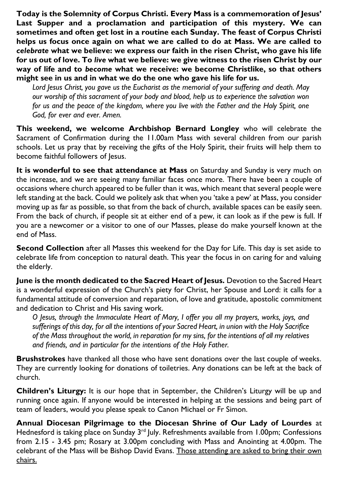**Today is the Solemnity of Corpus Christi. Every Mass is a commemoration of Jesus' Last Supper and a proclamation and participation of this mystery. We can sometimes and often get lost in a routine each Sunday. The feast of Corpus Christi helps us focus once again on what we are called to do at Mass. We are called to**  *celebrate* **what we believe: we express our faith in the risen Christ, who gave his life for us out of love. To** *live* **what we believe: we give witness to the risen Christ by our way of life and to** *become* **what we receive: we become Christlike, so that others might see in us and in what we do the one who gave his life for us.**

*Lord Jesus Christ, you gave us the Eucharist as the memorial of your suffering and death. May our worship of this sacrament of your body and blood, help us to experience the salvation won for us and the peace of the kingdom, where you live with the Father and the Holy Spirit, one God, for ever and ever. Amen.* 

**This weekend, we welcome Archbishop Bernard Longley** who will celebrate the Sacrament of Confirmation during the 11.00am Mass with several children from our parish schools. Let us pray that by receiving the gifts of the Holy Spirit, their fruits will help them to become faithful followers of Jesus.

**It is wonderful to see that attendance at Mass** on Saturday and Sunday is very much on the increase, and we are seeing many familiar faces once more. There have been a couple of occasions where church appeared to be fuller than it was, which meant that several people were left standing at the back. Could we politely ask that when you 'take a pew' at Mass, you consider moving up as far as possible, so that from the back of church, available spaces can be easily seen. From the back of church, if people sit at either end of a pew, it can look as if the pew is full. If you are a newcomer or a visitor to one of our Masses, please do make yourself known at the end of Mass.

**Second Collection** after all Masses this weekend for the Day for Life. This day is set aside to celebrate life from conception to natural death. This year the focus in on caring for and valuing the elderly.

**June is the month dedicated to the Sacred Heart of Jesus.** Devotion to the Sacred Heart is a wonderful expression of the Church's piety for Christ, her Spouse and Lord: it calls for a fundamental attitude of conversion and reparation, of love and gratitude, apostolic commitment and dedication to Christ and His saving work.

*O Jesus, through the Immaculate Heart of Mary, I offer you all my prayers, works, joys, and sufferings of this day, for all the intentions of your Sacred Heart, in union with the Holy Sacrifice of the Mass throughout the world, in reparation for my sins, for the intentions of all my relatives and friends, and in particular for the intentions of the Holy Father.*

**Brushstrokes** have thanked all those who have sent donations over the last couple of weeks. They are currently looking for donations of toiletries. Any donations can be left at the back of church.

**Children's Liturgy:** It is our hope that in September, the Children's Liturgy will be up and running once again. If anyone would be interested in helping at the sessions and being part of team of leaders, would you please speak to Canon Michael or Fr Simon.

**Annual Diocesan Pilgrimage to the Diocesan Shrine of Our Lady of Lourdes** at Hednesford is taking place on Sunday 3<sup>rd</sup> July. Refreshments available from 1.00pm; Confessions from 2.15 - 3.45 pm; Rosary at 3.00pm concluding with Mass and Anointing at 4.00pm. The celebrant of the Mass will be Bishop David Evans. Those attending are asked to bring their own chairs.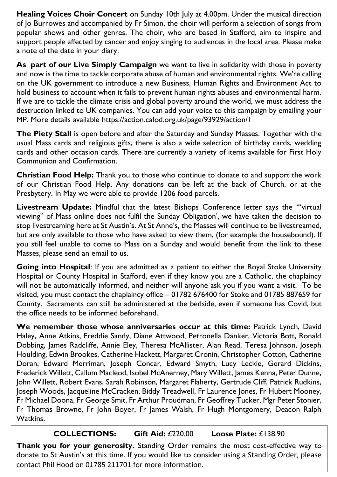**Healing Voices Choir Concert** on Sunday 10th July at 4.00pm. Under the musical direction of Jo Burrowes and accompanied by Fr Simon, the choir will perform a selection of songs from popular shows and other genres. The choir, who are based in Stafford, aim to inspire and support people affected by cancer and enjoy singing to audiences in the local area. Please make a note of the date in your diary.

**As part of our Live Simply Campaign** we want to live in solidarity with those in poverty and now is the time to tackle corporate abuse of human and environmental rights. We're calling on the UK government to introduce a new Business, Human Rights and Environment Act to hold business to account when it fails to prevent human rights abuses and environmental harm. If we are to tackle the climate crisis and global poverty around the world, we must address the destruction linked to UK companies. You can add your voice to this campaign by emailing your MP. More details available <https://action.cafod.org.uk/page/93929/action/1>

**The Piety Stall** is open before and after the Saturday and Sunday Masses. Together with the usual Mass cards and religious gifts, there is also a wide selection of birthday cards, wedding cards and other occasion cards. There are currently a variety of items available for First Holy Communion and Confirmation.

**Christian Food Help:** Thank you to those who continue to donate to and support the work of our Christian Food Help. Any donations can be left at the back of Church, or at the Presbytery. In May we were able to provide 1206 food parcels.

**Livestream Update:** Mindful that the latest Bishops Conference letter says the '"virtual viewing" of Mass online does not fulfil the Sunday Obligation', we have taken the decision to stop livestreaming here at St Austin's. At St Anne's, the Masses will continue to be livestreamed, but are only available to those who have asked to view them, (for example the housebound). If you still feel unable to come to Mass on a Sunday and would benefit from the link to these Masses, please send an email to us.

**Going into Hospital**: If you are admitted as a patient to either the Royal Stoke University Hospital or County Hospital in Stafford, even if they know you are a Catholic, the chaplaincy will not be automatically informed, and neither will anyone ask you if you want a visit. To be visited, you must contact the chaplaincy office – 01782 676400 for Stoke and 01785 887659 for County. Sacraments can still be administered at the bedside, even if someone has Covid, but the office needs to be informed beforehand.

**We remember those whose anniversaries occur at this time:** Patrick Lynch, David Haley, Anne Atkins, Freddie Sandy, Diane Attwood, Petronella Danker, Victoria Bott, Ronald Dobbing, James Radcliffe, Annie Eley, Theresa McAllister, Alan Read, Teresa Johnson, Joseph Houlding, Edwin Brookes, Catherine Hackett, Margaret Cronin, Christopher Cotton, Catherine Doran, Edward Merriman, Joseph Concar, Edward Smyth, Lucy Leckie, Gerard Dickins, Frederick Willett, Callum Macleod, Isobel McAnerney, Mary Willett, James Kenna, Peter Dunne, John Willett, Robert Evans, Sarah Robinson, Margaret Flaherty, Gertrude Cliff, Patrick Rudkins, Joseph Woods, Jacqueline McCracken, Biddy Treadwell, Fr Laurence Jones, Fr Hubert Mooney, Fr Michael Doona, Fr George Smit, Fr Arthur Proudman, Fr Geoffrey Tucker, Mgr Peter Stonier, Fr Thomas Browne, Fr John Boyer, Fr James Walsh, Fr Hugh Montgomery, Deacon Ralph Watkins.

**COLLECTIONS: Gift Aid:** £220.00 **Loose Plate:** £138.90 **Thank you for your generosity.** Standing Order remains the most cost-effective way to donate to St Austin's at this time. If you would like to consider using a Standing Order, please contact Phil Hood on 01785 211701 for more information.